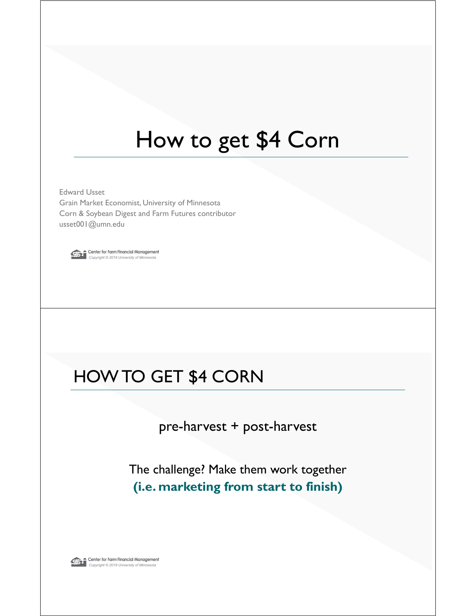# How to get \$4 Corn

Edward Usset Grain Market Economist, University of Minnesota Corn & Soybean Digest and Farm Futures contributor usset001@umn.edu



**Conter for Farm Financial Management**<br>Copyright © 2019 University of Minnesota

### HOW TO GET \$4 CORN

pre-harvest + post-harvest

The challenge? Make them work together **(i.e. marketing from start to finish)**

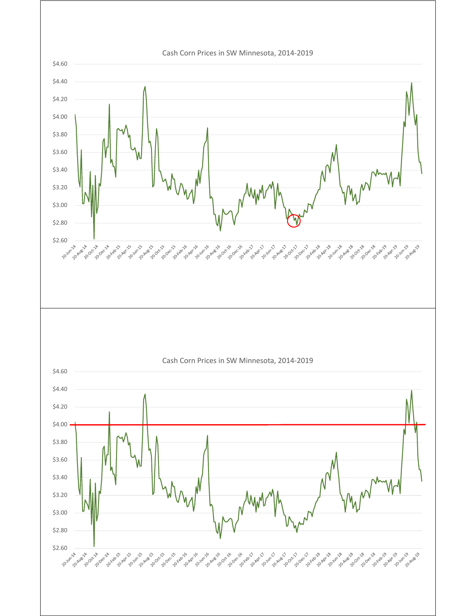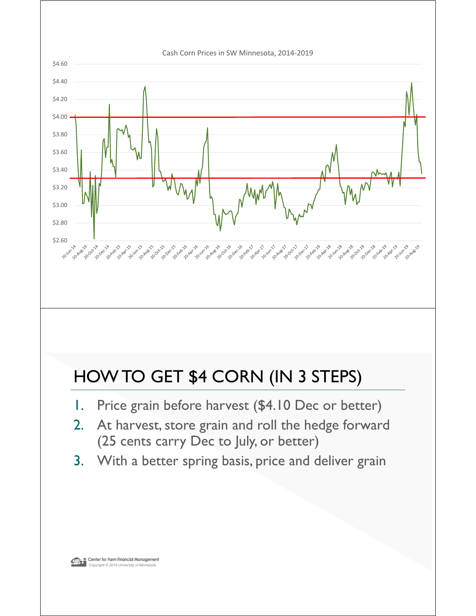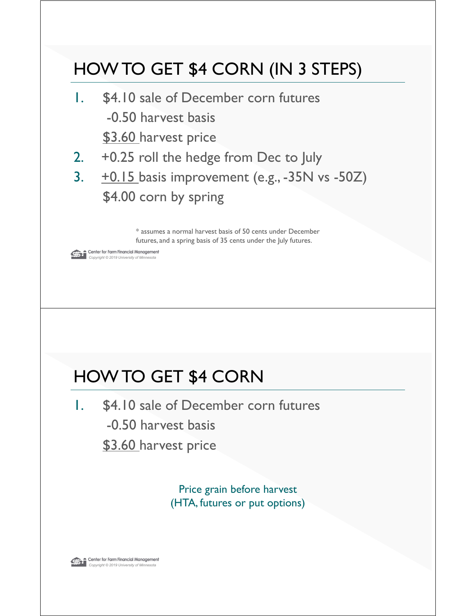### **Conter for Farm Financial Management**<br>Copyright © 2019 University of Minnesota HOW TO GET \$4 CORN (IN 3 STEPS) 1. \$4.10 sale of December corn futures -0.50 harvest basis \$3.60 harvest price 2. +0.25 roll the hedge from Dec to July 3.  $\pm 0.15$  basis improvement (e.g., -35N vs -50Z) \$4.00 corn by spring \* assumes a normal harvest basis of 50 cents under December futures, and a spring basis of 35 cents under the July futures.

### HOW TO GET \$4 CORN

1. \$4.10 sale of December corn futures -0.50 harvest basis \$3.60 harvest price

> Price grain before harvest (HTA, futures or put options)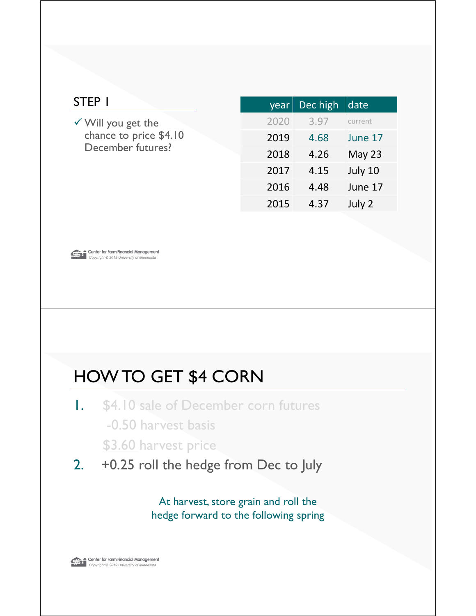| STEP I                                                                       | year | Dec high | date    |
|------------------------------------------------------------------------------|------|----------|---------|
| $\checkmark$ Will you get the<br>chance to price \$4.10<br>December futures? | 2020 | 3.97     | current |
|                                                                              | 2019 | 4.68     | June 17 |
|                                                                              | 2018 | 4.26     | May 23  |
|                                                                              | 2017 | 4.15     | July 10 |
|                                                                              | 2016 | 4.48     | June 17 |
|                                                                              | 2015 | 4.37     | July 2  |
|                                                                              |      |          |         |



- 1. \$4.10 sale of December corn futures -0.50 harvest basis \$3.60 harvest price
- 2. +0.25 roll the hedge from Dec to July

At harvest, store grain and roll the hedge forward to the following spring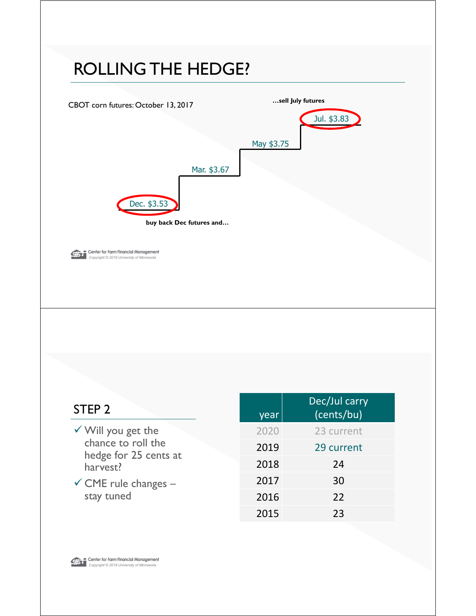### ROLLING THE HEDGE?



| STEP <sub>2</sub>                                                                                                                         | year | Dec/Jul carry<br>(cents/bu) |
|-------------------------------------------------------------------------------------------------------------------------------------------|------|-----------------------------|
| $\checkmark$ Will you get the<br>chance to roll the<br>hedge for 25 cents at<br>harvest?<br>$\checkmark$ CME rule changes –<br>stay tuned | 2020 | 23 current                  |
|                                                                                                                                           | 2019 | 29 current                  |
|                                                                                                                                           | 2018 | 24                          |
|                                                                                                                                           | 2017 | 30                          |
|                                                                                                                                           | 2016 | 22                          |
|                                                                                                                                           | 2015 | 23                          |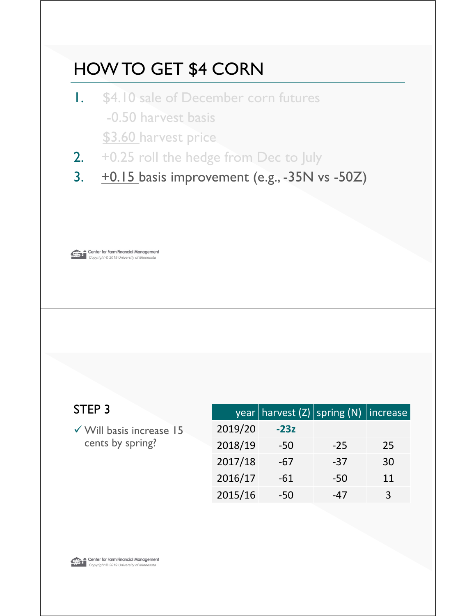- 1. \$4.10 sale of December corn futures -0.50 harvest basis \$3.60 harvest price
- 2. +0.25 roll the hedge from Dec to July
- 3.  $\pm 0.15$  basis improvement (e.g., -35N vs -50Z)



| STEP 3                                                  |         | $\vert$ year   harvest (Z) $\vert$ spring (N)   increase |       |    |
|---------------------------------------------------------|---------|----------------------------------------------------------|-------|----|
| $\checkmark$ Will basis increase 15<br>cents by spring? | 2019/20 | $-23z$                                                   |       |    |
|                                                         | 2018/19 | $-50$                                                    | $-25$ | 25 |
|                                                         | 2017/18 | $-67$                                                    | $-37$ | 30 |
|                                                         | 2016/17 | $-61$                                                    | -50   | 11 |
|                                                         | 2015/16 | -50                                                      | -47   | 3  |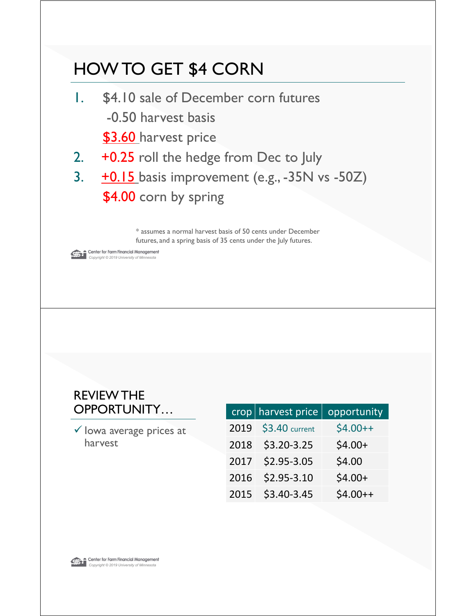- 1. \$4.10 sale of December corn futures -0.50 harvest basis \$3.60 harvest price
- 2. +0.25 roll the hedge from Dec to July
- 3.  $\pm 0.15$  basis improvement (e.g., -35N vs -50Z) \$4.00 corn by spring

\* assumes a normal harvest basis of 50 cents under December futures, and a spring basis of 35 cents under the July futures.

**Conter for Farm Financial Management**<br>Copyright © 2019 University of Minnesota

#### REVIEW THE OPPORTUNITY...

 $\checkmark$  lowa average prices at harvest

|      | $\cosh$ harvest price | opportunity |
|------|-----------------------|-------------|
| 2019 | \$3.40 current        | $$4.00++$   |
| 2018 | $$3.20-3.25$          | $$4.00+$    |
| 2017 | $$2.95 - 3.05$        | \$4.00      |
| 2016 | $$2.95 - 3.10$        | $$4.00+$    |
| 2015 | \$3.40-3.45           | $$4.00++$   |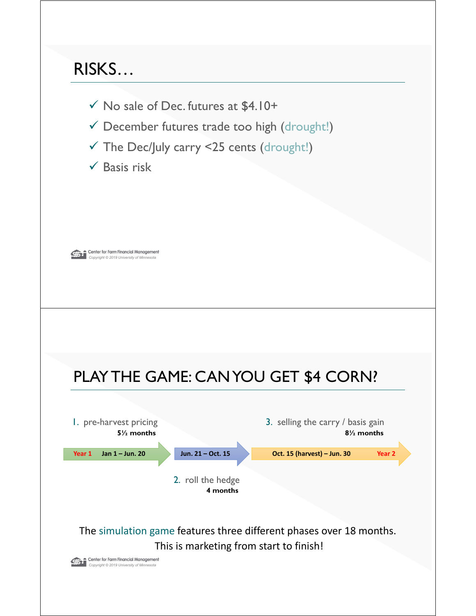### RISKS…

- $\checkmark$  No sale of Dec. futures at \$4.10+
- $\checkmark$  December futures trade too high (drought!)
- $\checkmark$  The Dec/July carry <25 cents (drought!)
- $\checkmark$  Basis risk



### PLAY THE GAME: CAN YOU GET \$4 CORN?

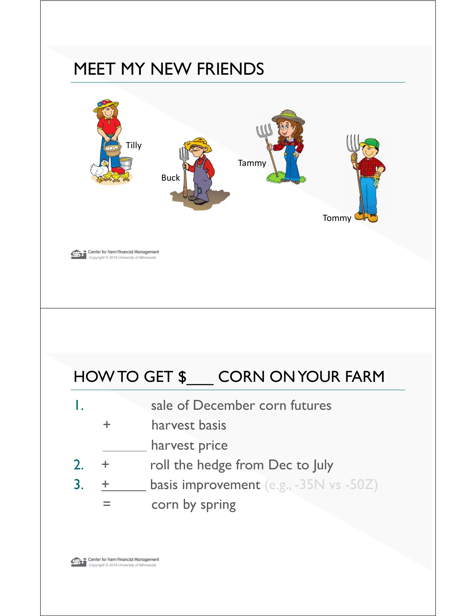### MEET MY NEW FRIENDS

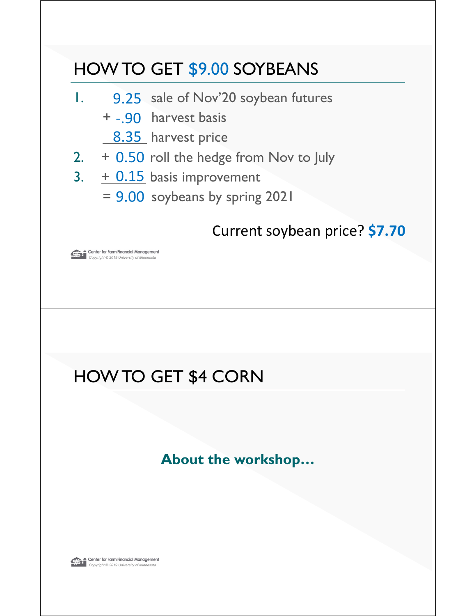### HOW TO GET \$9.00 SOYBEANS

- 1. 9.25 sale of Nov'20 soybean futures
	- + -.90 harvest basis
		- 8.35 harvest price
- $2.$  + 0.50 roll the hedge from Nov to July
- 3.  $\pm$  0.15 basis improvement
	- $= 9.00$  soybeans by spring 2021

### Current soybean price? **\$7.70**

**Conter for Farm Financial Management**<br>Copyright © 2019 University of Minnesota

### HOW TO GET \$4 CORN

**About the workshop…**

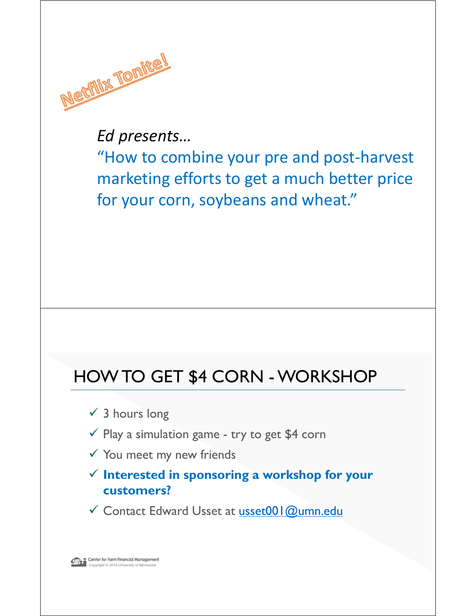

*Ed presents…*

"How to combine your pre and post‐harvest marketing efforts to get a much better price for your corn, soybeans and wheat."

### HOW TO GET \$4 CORN - WORKSHOP

- $\checkmark$  3 hours long
- $\checkmark$  Play a simulation game try to get \$4 corn
- $\checkmark$  You meet my new friends
- **Interested in sponsoring a workshop for your customers?**
- Contact Edward Usset at usset001@umn.edu